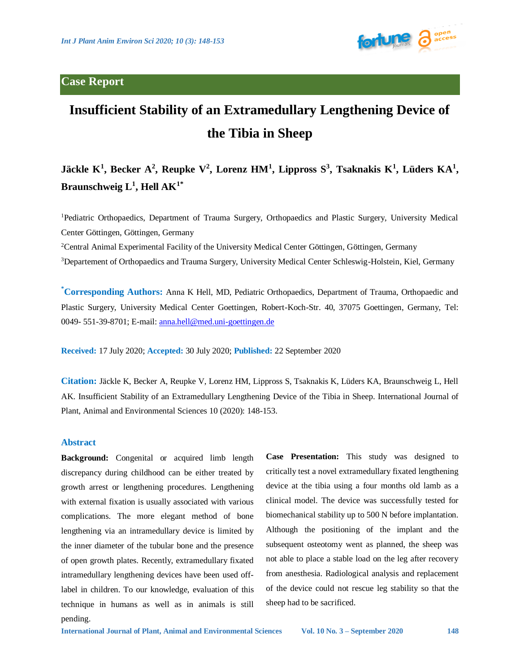## **Case Report**



# **Insufficient Stability of an Extramedullary Lengthening Device of the Tibia in Sheep**

## **Jäckle K<sup>1</sup> , Becker A<sup>2</sup> , Reupke V<sup>2</sup> , Lorenz HM<sup>1</sup> , Lippross S<sup>3</sup> , Tsaknakis K<sup>1</sup> , Lüders KA<sup>1</sup> , Braunschweig L<sup>1</sup> , Hell AK1\***

<sup>1</sup>Pediatric Orthopaedics, Department of Trauma Surgery, Orthopaedics and Plastic Surgery, University Medical Center Göttingen, Göttingen, Germany

<sup>2</sup>Central Animal Experimental Facility of the University Medical Center Göttingen, Göttingen, Germany

<sup>3</sup>Departement of Orthopaedics and Trauma Surgery, University Medical Center Schleswig-Holstein, Kiel, Germany

**\*Corresponding Authors:** Anna K Hell, MD, Pediatric Orthopaedics, Department of Trauma, Orthopaedic and Plastic Surgery, University Medical Center Goettingen, Robert-Koch-Str. 40, 37075 Goettingen, Germany, Tel: 0049- 551-39-8701; E-mail[: anna.hell@med.uni-goettingen.de](mailto:anna.hell@med.uni-goettingen.de)

**Received:** 17 July 2020; **Accepted:** 30 July 2020; **Published:** 22 September 2020

**Citation:** Jäckle K, Becker A, Reupke V, Lorenz HM, Lippross S, Tsaknakis K, Lüders KA, Braunschweig L, Hell AK. Insufficient Stability of an Extramedullary Lengthening Device of the Tibia in Sheep. International Journal of Plant, Animal and Environmental Sciences 10 (2020): 148-153.

## **Abstract**

**Background:** Congenital or acquired limb length discrepancy during childhood can be either treated by growth arrest or lengthening procedures. Lengthening with external fixation is usually associated with various complications. The more elegant method of bone lengthening via an intramedullary device is limited by the inner diameter of the tubular bone and the presence of open growth plates. Recently, extramedullary fixated intramedullary lengthening devices have been used offlabel in children. To our knowledge, evaluation of this technique in humans as well as in animals is still pending.

**Case Presentation:** This study was designed to critically test a novel extramedullary fixated lengthening device at the tibia using a four months old lamb as a clinical model. The device was successfully tested for biomechanical stability up to 500 N before implantation. Although the positioning of the implant and the subsequent osteotomy went as planned, the sheep was not able to place a stable load on the leg after recovery from anesthesia. Radiological analysis and replacement of the device could not rescue leg stability so that the sheep had to be sacrificed.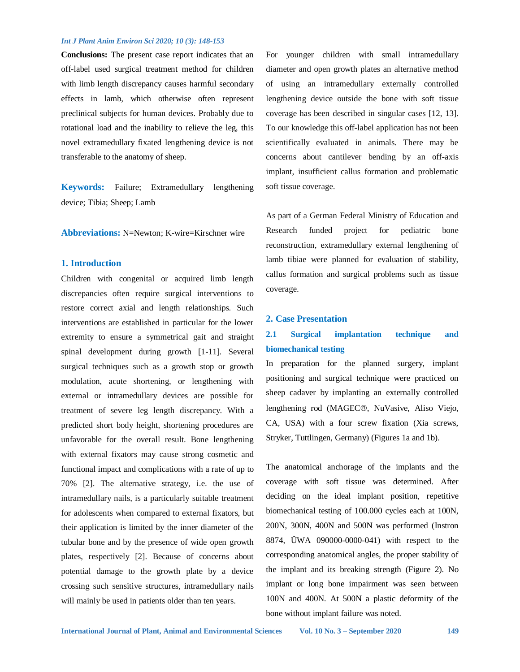**Conclusions:** The present case report indicates that an off-label used surgical treatment method for children with limb length discrepancy causes harmful secondary effects in lamb, which otherwise often represent preclinical subjects for human devices. Probably due to rotational load and the inability to relieve the leg, this novel extramedullary fixated lengthening device is not transferable to the anatomy of sheep.

**Keywords:** Failure; Extramedullary lengthening device; Tibia; Sheep; Lamb

**Abbreviations:** N=Newton; K-wire=Kirschner wire

## **1. Introduction**

Children with congenital or acquired limb length discrepancies often require surgical interventions to restore correct axial and length relationships. Such interventions are established in particular for the lower extremity to ensure a symmetrical gait and straight spinal development during growth [1-11]. Several surgical techniques such as a growth stop or growth modulation, acute shortening, or lengthening with external or intramedullary devices are possible for treatment of severe leg length discrepancy. With a predicted short body height, shortening procedures are unfavorable for the overall result. Bone lengthening with external fixators may cause strong cosmetic and functional impact and complications with a rate of up to 70% [2]. The alternative strategy, i.e. the use of intramedullary nails, is a particularly suitable treatment for adolescents when compared to external fixators, but their application is limited by the inner diameter of the tubular bone and by the presence of wide open growth plates, respectively [2]. Because of concerns about potential damage to the growth plate by a device crossing such sensitive structures, intramedullary nails will mainly be used in patients older than ten years.

For younger children with small intramedullary diameter and open growth plates an alternative method of using an intramedullary externally controlled lengthening device outside the bone with soft tissue coverage has been described in singular cases [12, 13]. To our knowledge this off-label application has not been scientifically evaluated in animals. There may be concerns about cantilever bending by an off-axis implant, insufficient callus formation and problematic soft tissue coverage.

As part of a German Federal Ministry of Education and Research funded project for pediatric bone reconstruction, extramedullary external lengthening of lamb tibiae were planned for evaluation of stability, callus formation and surgical problems such as tissue coverage.

## **2. Case Presentation**

## **2.1 Surgical implantation technique and biomechanical testing**

In preparation for the planned surgery, implant positioning and surgical technique were practiced on sheep cadaver by implanting an externally controlled lengthening rod (MAGEC®, NuVasive, Aliso Viejo, CA, USA) with a four screw fixation (Xia screws, Stryker, Tuttlingen, Germany) (Figures 1a and 1b).

The anatomical anchorage of the implants and the coverage with soft tissue was determined. After deciding on the ideal implant position, repetitive biomechanical testing of 100.000 cycles each at 100N, 200N, 300N, 400N and 500N was performed (Instron 8874, ÜWA 090000-0000-041) with respect to the corresponding anatomical angles, the proper stability of the implant and its breaking strength (Figure 2). No implant or long bone impairment was seen between 100N and 400N. At 500N a plastic deformity of the bone without implant failure was noted.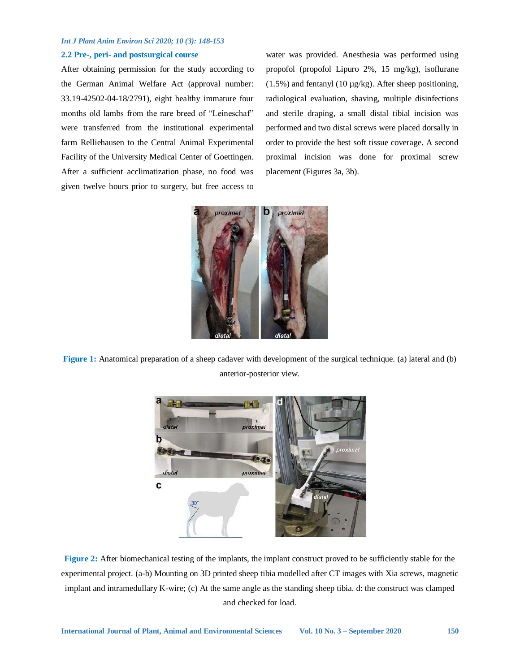### **2.2 Pre-, peri- and postsurgical course**

After obtaining permission for the study according to the German Animal Welfare Act (approval number: 33.19-42502-04-18/2791), eight healthy immature four months old lambs from the rare breed of "Leineschaf" were transferred from the institutional experimental farm Relliehausen to the Central Animal Experimental Facility of the University Medical Center of Goettingen. After a sufficient acclimatization phase, no food was given twelve hours prior to surgery, but free access to water was provided. Anesthesia was performed using propofol (propofol Lipuro 2%, 15 mg/kg), isoflurane  $(1.5\%)$  and fentanyl  $(10 \mu g/kg)$ . After sheep positioning, radiological evaluation, shaving, multiple disinfections and sterile draping, a small distal tibial incision was performed and two distal screws were placed dorsally in order to provide the best soft tissue coverage. A second proximal incision was done for proximal screw placement (Figures 3a, 3b).



**Figure 1:** Anatomical preparation of a sheep cadaver with development of the surgical technique. (a) lateral and (b) anterior-posterior view.



**Figure 2:** After biomechanical testing of the implants, the implant construct proved to be sufficiently stable for the experimental project. (a-b) Mounting on 3D printed sheep tibia modelled after CT images with Xia screws, magnetic implant and intramedullary K-wire; (c) At the same angle as the standing sheep tibia. d: the construct was clamped and checked for load.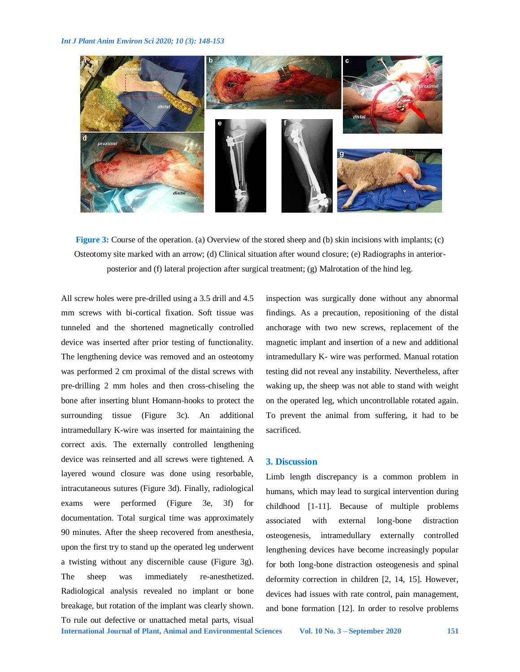

**Figure 3:** Course of the operation. (a) Overview of the stored sheep and (b) skin incisions with implants; (c) Osteotomy site marked with an arrow; (d) Clinical situation after wound closure; (e) Radiographs in anteriorposterior and (f) lateral projection after surgical treatment; (g) Malrotation of the hind leg.

All screw holes were pre-drilled using a 3.5 drill and 4.5 mm screws with bi-cortical fixation. Soft tissue was tunneled and the shortened magnetically controlled device was inserted after prior testing of functionality. The lengthening device was removed and an osteotomy was performed 2 cm proximal of the distal screws with pre-drilling 2 mm holes and then cross-chiseling the bone after inserting blunt Homann-hooks to protect the surrounding tissue (Figure 3c). An additional intramedullary K-wire was inserted for maintaining the correct axis. The externally controlled lengthening device was reinserted and all screws were tightened. A layered wound closure was done using resorbable, intracutaneous sutures (Figure 3d). Finally, radiological exams were performed (Figure 3e, 3f) for documentation. Total surgical time was approximately 90 minutes. After the sheep recovered from anesthesia, upon the first try to stand up the operated leg underwent a twisting without any discernible cause (Figure 3g). The sheep was immediately re-anesthetized. Radiological analysis revealed no implant or bone breakage, but rotation of the implant was clearly shown. To rule out defective or unattached metal parts, visual

inspection was surgically done without any abnormal findings. As a precaution, repositioning of the distal anchorage with two new screws, replacement of the magnetic implant and insertion of a new and additional intramedullary K- wire was performed. Manual rotation testing did not reveal any instability. Nevertheless, after waking up, the sheep was not able to stand with weight on the operated leg, which uncontrollable rotated again. To prevent the animal from suffering, it had to be sacrificed.

## **3. Discussion**

Limb length discrepancy is a common problem in humans, which may lead to surgical intervention during childhood [1-11]. Because of multiple problems associated with external long-bone distraction osteogenesis, intramedullary externally controlled lengthening devices have become increasingly popular for both long-bone distraction osteogenesis and spinal deformity correction in children [2, 14, 15]. However, devices had issues with rate control, pain management, and bone formation [12]. In order to resolve problems

**International Journal of Plant, Animal and Environmental Sciences Vol. 10 No. 3 – September 2020 151**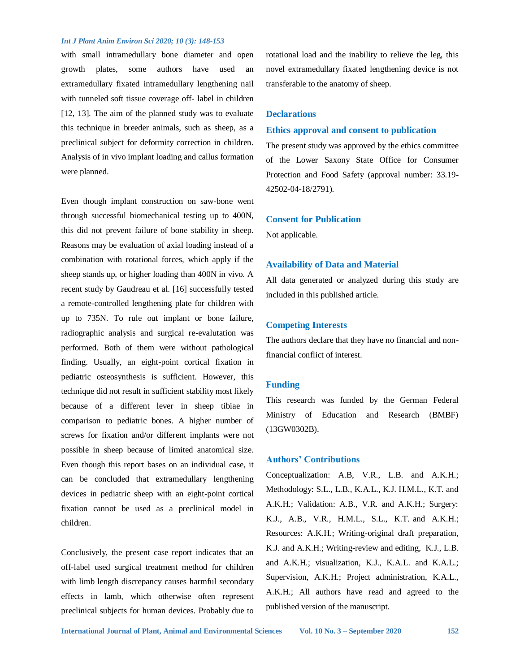with small intramedullary bone diameter and open growth plates, some authors have used an extramedullary fixated intramedullary lengthening nail with tunneled soft tissue coverage off- label in children [12, 13]. The aim of the planned study was to evaluate this technique in breeder animals, such as sheep, as a preclinical subject for deformity correction in children. Analysis of in vivo implant loading and callus formation were planned.

Even though implant construction on saw-bone went through successful biomechanical testing up to 400N, this did not prevent failure of bone stability in sheep. Reasons may be evaluation of axial loading instead of a combination with rotational forces, which apply if the sheep stands up, or higher loading than 400N in vivo. A recent study by Gaudreau et al. [16] successfully tested a remote-controlled lengthening plate for children with up to 735N. To rule out implant or bone failure, radiographic analysis and surgical re-evalutation was performed. Both of them were without pathological finding. Usually, an eight-point cortical fixation in pediatric osteosynthesis is sufficient. However, this technique did not result in sufficient stability most likely because of a different lever in sheep tibiae in comparison to pediatric bones. A higher number of screws for fixation and/or different implants were not possible in sheep because of limited anatomical size. Even though this report bases on an individual case, it can be concluded that extramedullary lengthening devices in pediatric sheep with an eight-point cortical fixation cannot be used as a preclinical model in children.

Conclusively, the present case report indicates that an off-label used surgical treatment method for children with limb length discrepancy causes harmful secondary effects in lamb, which otherwise often represent preclinical subjects for human devices. Probably due to rotational load and the inability to relieve the leg, this novel extramedullary fixated lengthening device is not transferable to the anatomy of sheep.

#### **Declarations**

## **Ethics approval and consent to publication**

The present study was approved by the ethics committee of the Lower Saxony State Office for Consumer Protection and Food Safety (approval number: 33.19- 42502-04-18/2791).

## **Consent for Publication**

Not applicable.

## **Availability of Data and Material**

All data generated or analyzed during this study are included in this published article.

### **Competing Interests**

The authors declare that they have no financial and nonfinancial conflict of interest.

## **Funding**

This research was funded by the German Federal Ministry of Education and Research (BMBF) (13GW0302B).

## **Authors' Contributions**

Conceptualization: A.B, V.R., L.B. and A.K.H.; Methodology: S.L., L.B., K.A.L., K.J. H.M.L., K.T. and A.K.H.; Validation: A.B., V.R. and A.K.H.; Surgery: K.J., A.B., V.R., H.M.L., S.L., K.T. and A.K.H.; Resources: A.K.H.; Writing-original draft preparation, K.J. and A.K.H.; Writing-review and editing, K.J., L.B. and A.K.H.; visualization, K.J., K.A.L. and K.A.L.; Supervision, A.K.H.; Project administration, K.A.L., A.K.H.; All authors have read and agreed to the published version of the manuscript.